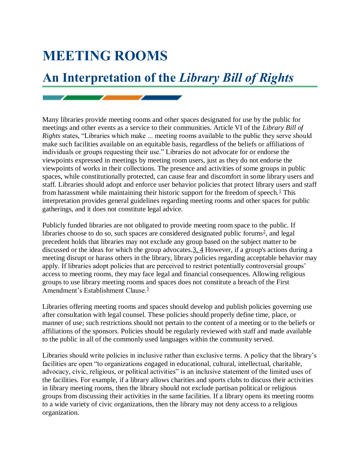## **MEETING ROOMS**

## **An Interpretation of the** *Library Bill of Rights*

Many libraries provide meeting rooms and other spaces designated for use by the public for meetings and other events as a service to their communities. Article VI of the *Library Bill of Rights* states, "Libraries which make ... meeting rooms available to the public they serve should make such facilities available on an equitable basis, regardless of the beliefs or affiliations of individuals or groups requesting their use." Libraries do not advocate for or endorse the viewpoints expressed in meetings by meeting room users, just as they do not endorse the viewpoints of works in their collections. The presence and activities of some groups in public spaces, while constitutionally protected, can cause fear and discomfort in some library users and staff. Libraries should adopt and enforce user behavior policies that protect library users and staff from harassment while maintaining their historic support for the freedom of speech. $\frac{1}{1}$  $\frac{1}{1}$  $\frac{1}{1}$  This interpretation provides general guidelines regarding meeting rooms and other spaces for public gatherings, and it does not constitute legal advice.

Publicly funded libraries are not obligated to provide meeting room space to the public. If libraries choose to do so, such spaces are considered designated public forums<sup>[2](http://www.ala.org/advocacy/intfreedom/librarybill/interpretations/meetingrooms#Notes)</sup>, and legal precedent holds that libraries may not exclude any group based on the subject matter to be discussed or the ideas for which the group advocates[.3,](http://www.ala.org/advocacy/intfreedom/librarybill/interpretations/meetingrooms#Notes) 4 However, if a group's actions during a meeting disrupt or harass others in the library, library policies regarding acceptable behavior may apply. If libraries adopt policies that are perceived to restrict potentially controversial groups' access to meeting rooms, they may face legal and financial consequences. Allowing religious groups to use library meeting rooms and spaces does not constitute a breach of the First Amendment's Establishment Clause.<sup>[5](http://www.ala.org/advocacy/intfreedom/librarybill/interpretations/meetingrooms#Notes)</sup>

Libraries offering meeting rooms and spaces should develop and publish policies governing use after consultation with legal counsel. These policies should properly define time, place, or manner of use; such restrictions should not pertain to the content of a meeting or to the beliefs or affiliations of the sponsors. Policies should be regularly reviewed with staff and made available to the public in all of the commonly used languages within the community served.

Libraries should write policies in inclusive rather than exclusive terms. A policy that the library's facilities are open "to organizations engaged in educational, cultural, intellectual, charitable, advocacy, civic, religious, or political activities" is an inclusive statement of the limited uses of the facilities. For example, if a library allows charities and sports clubs to discuss their activities in library meeting rooms, then the library should not exclude partisan political or religious groups from discussing their activities in the same facilities. If a library opens its meeting rooms to a wide variety of civic organizations, then the library may not deny access to a religious organization.